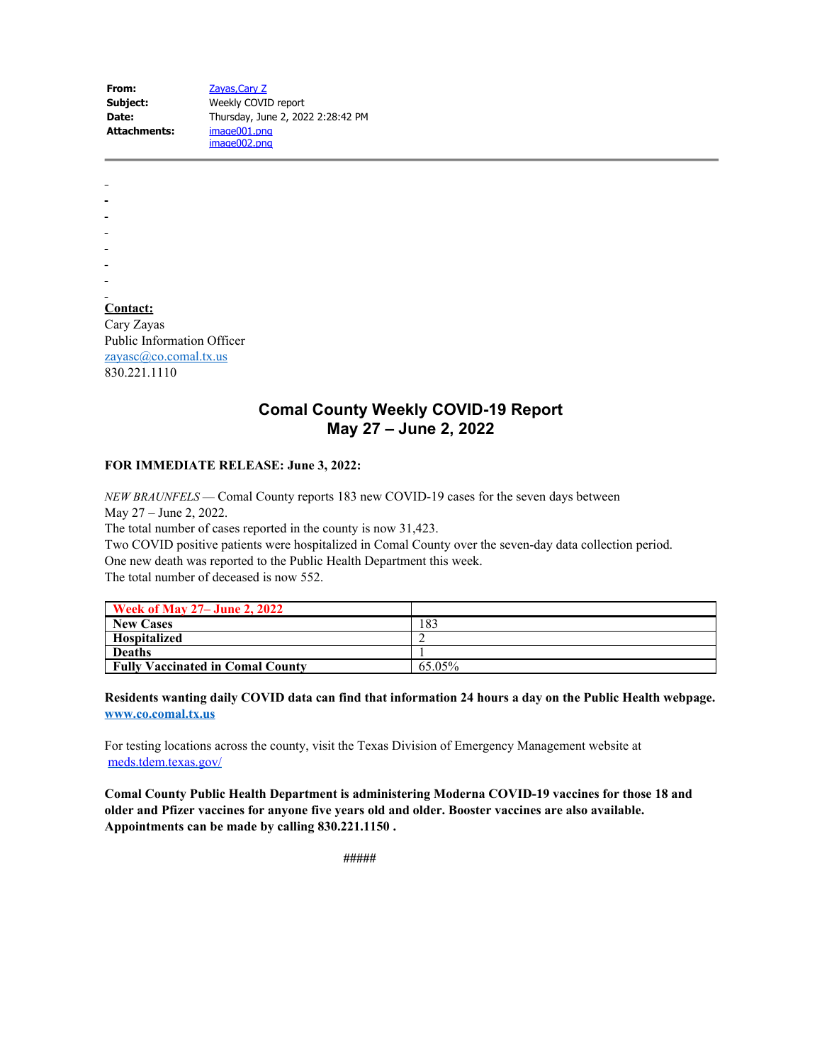| From:        | Zayas, Cary Z                     |  |
|--------------|-----------------------------------|--|
| Subject:     | Weekly COVID report               |  |
| Date:        | Thursday, June 2, 2022 2:28:42 PM |  |
| Attachments: | image001.png                      |  |
|              | image002.png                      |  |

**Contact:** Cary Zayas Public Information Officer [zayasc@co.comal.tx.us](mailto:zayasc@co.comal.tx.us) 830.221.1110

## **Comal County Weekly COVID-19 Report May 27 – June 2, 2022**

## **FOR IMMEDIATE RELEASE: June 3, 2022:**

*NEW BRAUNFELS* — Comal County reports 183 new COVID-19 cases for the seven days between May 27 – June 2, 2022.

The total number of cases reported in the county is now 31,423.

Two COVID positive patients were hospitalized in Comal County over the seven-day data collection period. One new death was reported to the Public Health Department this week.

The total number of deceased is now 552.

| <b>Week of May 27– June 2, 2022</b>     |        |
|-----------------------------------------|--------|
| <b>New Cases</b>                        | 183    |
| <b>Hospitalized</b>                     |        |
| <b>Deaths</b>                           |        |
| <b>Fully Vaccinated in Comal County</b> | 65.05% |

**Residents wanting daily COVID data can find that information 24 hours a day on the Public Health webpage. [www.co.comal.tx.us](http://www.co.comal.tx.us/)**

For testing locations across the county, visit the Texas Division of Emergency Management website at [meds.tdem.texas.gov/](http://meds.tdem.texas.gov/?fbclid=IwAR2Xfx6nd5vJcr0PNwWKni1HK2nO8eFtjGWJGORvNvJWFDKHzLWe1RNSaVw)

**Comal County Public Health Department is administering Moderna COVID-19 vaccines for those 18 and older and Pfizer vaccines for anyone five years old and older. Booster vaccines are also available. Appointments can be made by calling 830.221.1150 .**

 **#####**